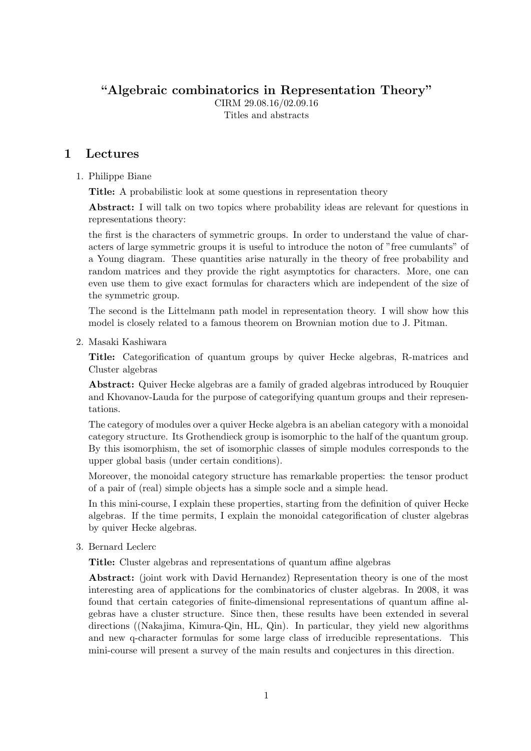"Algebraic combinatorics in Representation Theory"

CIRM 29.08.16/02.09.16 Titles and abstracts

## 1 Lectures

#### 1. Philippe Biane

Title: A probabilistic look at some questions in representation theory

Abstract: I will talk on two topics where probability ideas are relevant for questions in representations theory:

the first is the characters of symmetric groups. In order to understand the value of characters of large symmetric groups it is useful to introduce the noton of "free cumulants" of a Young diagram. These quantities arise naturally in the theory of free probability and random matrices and they provide the right asymptotics for characters. More, one can even use them to give exact formulas for characters which are independent of the size of the symmetric group.

The second is the Littelmann path model in representation theory. I will show how this model is closely related to a famous theorem on Brownian motion due to J. Pitman.

2. Masaki Kashiwara

Title: Categorification of quantum groups by quiver Hecke algebras, R-matrices and Cluster algebras

Abstract: Quiver Hecke algebras are a family of graded algebras introduced by Rouquier and Khovanov-Lauda for the purpose of categorifying quantum groups and their representations.

The category of modules over a quiver Hecke algebra is an abelian category with a monoidal category structure. Its Grothendieck group is isomorphic to the half of the quantum group. By this isomorphism, the set of isomorphic classes of simple modules corresponds to the upper global basis (under certain conditions).

Moreover, the monoidal category structure has remarkable properties: the tensor product of a pair of (real) simple objects has a simple socle and a simple head.

In this mini-course, I explain these properties, starting from the definition of quiver Hecke algebras. If the time permits, I explain the monoidal categorification of cluster algebras by quiver Hecke algebras.

3. Bernard Leclerc

Title: Cluster algebras and representations of quantum affine algebras

Abstract: (joint work with David Hernandez) Representation theory is one of the most interesting area of applications for the combinatorics of cluster algebras. In 2008, it was found that certain categories of finite-dimensional representations of quantum affine algebras have a cluster structure. Since then, these results have been extended in several directions ((Nakajima, Kimura-Qin, HL, Qin). In particular, they yield new algorithms and new q-character formulas for some large class of irreducible representations. This mini-course will present a survey of the main results and conjectures in this direction.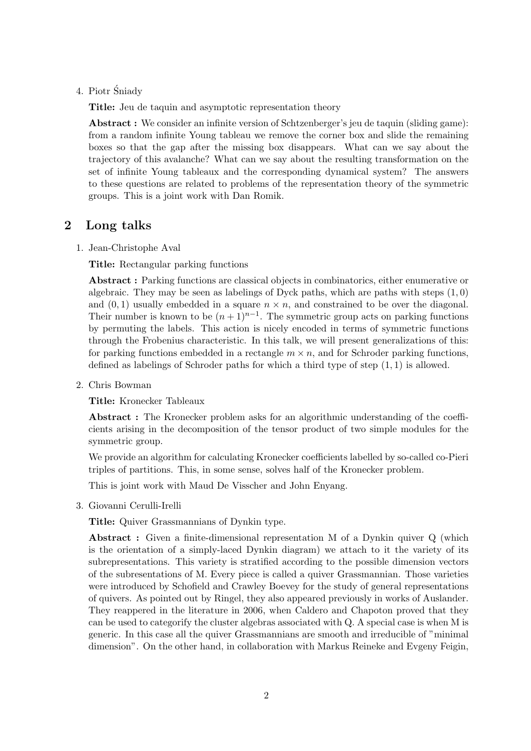4. Piotr Śniady

Title: Jeu de taquin and asymptotic representation theory

Abstract : We consider an infinite version of Schtzenberger's jeu de taquin (sliding game): from a random infinite Young tableau we remove the corner box and slide the remaining boxes so that the gap after the missing box disappears. What can we say about the trajectory of this avalanche? What can we say about the resulting transformation on the set of infinite Young tableaux and the corresponding dynamical system? The answers to these questions are related to problems of the representation theory of the symmetric groups. This is a joint work with Dan Romik.

#### 2 Long talks

1. Jean-Christophe Aval

Title: Rectangular parking functions

Abstract : Parking functions are classical objects in combinatorics, either enumerative or algebraic. They may be seen as labelings of Dyck paths, which are paths with steps  $(1, 0)$ and  $(0, 1)$  usually embedded in a square  $n \times n$ , and constrained to be over the diagonal. Their number is known to be  $(n+1)^{n-1}$ . The symmetric group acts on parking functions by permuting the labels. This action is nicely encoded in terms of symmetric functions through the Frobenius characteristic. In this talk, we will present generalizations of this: for parking functions embedded in a rectangle  $m \times n$ , and for Schroder parking functions, defined as labelings of Schroder paths for which a third type of step  $(1, 1)$  is allowed.

2. Chris Bowman

Title: Kronecker Tableaux

Abstract : The Kronecker problem asks for an algorithmic understanding of the coefficients arising in the decomposition of the tensor product of two simple modules for the symmetric group.

We provide an algorithm for calculating Kronecker coefficients labelled by so-called co-Pieri triples of partitions. This, in some sense, solves half of the Kronecker problem.

This is joint work with Maud De Visscher and John Enyang.

3. Giovanni Cerulli-Irelli

Title: Quiver Grassmannians of Dynkin type.

Abstract: Given a finite-dimensional representation M of a Dynkin quiver Q (which is the orientation of a simply-laced Dynkin diagram) we attach to it the variety of its subrepresentations. This variety is stratified according to the possible dimension vectors of the subresentations of M. Every piece is called a quiver Grassmannian. Those varieties were introduced by Schofield and Crawley Boevey for the study of general representations of quivers. As pointed out by Ringel, they also appeared previously in works of Auslander. They reappered in the literature in 2006, when Caldero and Chapoton proved that they can be used to categorify the cluster algebras associated with Q. A special case is when M is generic. In this case all the quiver Grassmannians are smooth and irreducible of "minimal dimension". On the other hand, in collaboration with Markus Reineke and Evgeny Feigin,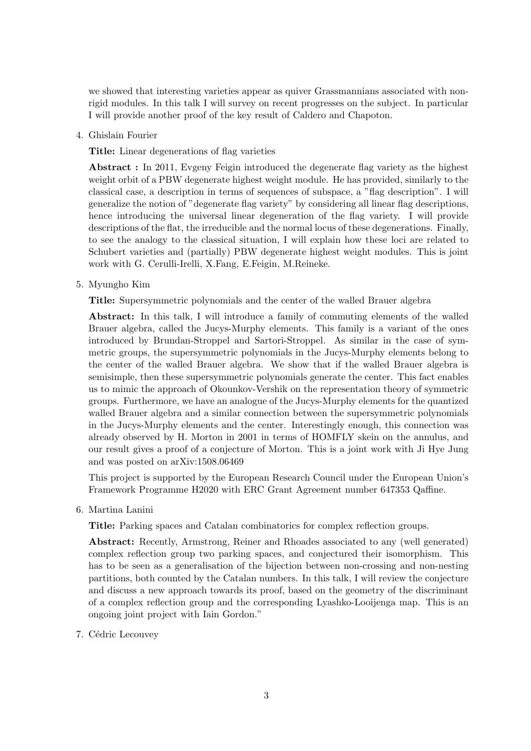we showed that interesting varieties appear as quiver Grassmannians associated with nonrigid modules. In this talk I will survey on recent progresses on the subject. In particular I will provide another proof of the key result of Caldero and Chapoton.

4. Ghislain Fourier

Title: Linear degenerations of flag varieties

Abstract : In 2011, Evgeny Feigin introduced the degenerate flag variety as the highest weight orbit of a PBW degenerate highest weight module. He has provided, similarly to the classical case, a description in terms of sequences of subspace, a "flag description". I will generalize the notion of "degenerate flag variety" by considering all linear flag descriptions, hence introducing the universal linear degeneration of the flag variety. I will provide descriptions of the flat, the irreducible and the normal locus of these degenerations. Finally, to see the analogy to the classical situation, I will explain how these loci are related to Schubert varieties and (partially) PBW degenerate highest weight modules. This is joint work with G. Cerulli-Irelli, X.Fang, E.Feigin, M.Reineke.

5. Myungho Kim

Title: Supersymmetric polynomials and the center of the walled Brauer algebra

Abstract: In this talk, I will introduce a family of commuting elements of the walled Brauer algebra, called the Jucys-Murphy elements. This family is a variant of the ones introduced by Brundan-Stroppel and Sartori-Stroppel. As similar in the case of symmetric groups, the supersymmetric polynomials in the Jucys-Murphy elements belong to the center of the walled Brauer algebra. We show that if the walled Brauer algebra is semisimple, then these supersymmetric polynomials generate the center. This fact enables us to mimic the approach of Okounkov-Vershik on the representation theory of symmetric groups. Furthermore, we have an analogue of the Jucys-Murphy elements for the quantized walled Brauer algebra and a similar connection between the supersymmetric polynomials in the Jucys-Murphy elements and the center. Interestingly enough, this connection was already observed by H. Morton in 2001 in terms of HOMFLY skein on the annulus, and our result gives a proof of a conjecture of Morton. This is a joint work with Ji Hye Jung and was posted on arXiv:1508.06469

This project is supported by the European Research Council under the European Union's Framework Programme H2020 with ERC Grant Agreement number 647353 Qaffine.

6. Martina Lanini

Title: Parking spaces and Catalan combinatorics for complex reflection groups.

Abstract: Recently, Armstrong, Reiner and Rhoades associated to any (well generated) complex reflection group two parking spaces, and conjectured their isomorphism. This has to be seen as a generalisation of the bijection between non-crossing and non-nesting partitions, both counted by the Catalan numbers. In this talk, I will review the conjecture and discuss a new approach towards its proof, based on the geometry of the discriminant of a complex reflection group and the corresponding Lyashko-Looijenga map. This is an ongoing joint project with Iain Gordon."

7. Cédric Lecouvey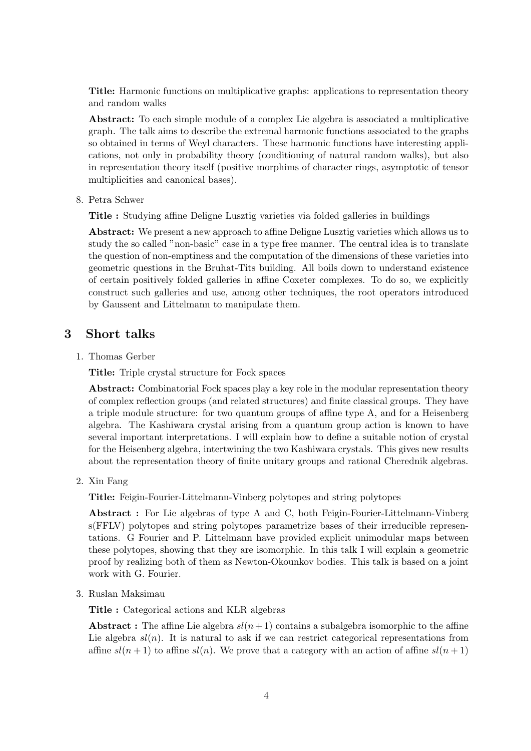Title: Harmonic functions on multiplicative graphs: applications to representation theory and random walks

Abstract: To each simple module of a complex Lie algebra is associated a multiplicative graph. The talk aims to describe the extremal harmonic functions associated to the graphs so obtained in terms of Weyl characters. These harmonic functions have interesting applications, not only in probability theory (conditioning of natural random walks), but also in representation theory itself (positive morphims of character rings, asymptotic of tensor multiplicities and canonical bases).

8. Petra Schwer

Title : Studying affine Deligne Lusztig varieties via folded galleries in buildings

Abstract: We present a new approach to affine Deligne Lusztig varieties which allows us to study the so called "non-basic" case in a type free manner. The central idea is to translate the question of non-emptiness and the computation of the dimensions of these varieties into geometric questions in the Bruhat-Tits building. All boils down to understand existence of certain positively folded galleries in affine Coxeter complexes. To do so, we explicitly construct such galleries and use, among other techniques, the root operators introduced by Gaussent and Littelmann to manipulate them.

### 3 Short talks

1. Thomas Gerber

Title: Triple crystal structure for Fock spaces

Abstract: Combinatorial Fock spaces play a key role in the modular representation theory of complex reflection groups (and related structures) and finite classical groups. They have a triple module structure: for two quantum groups of affine type A, and for a Heisenberg algebra. The Kashiwara crystal arising from a quantum group action is known to have several important interpretations. I will explain how to define a suitable notion of crystal for the Heisenberg algebra, intertwining the two Kashiwara crystals. This gives new results about the representation theory of finite unitary groups and rational Cherednik algebras.

2. Xin Fang

Title: Feigin-Fourier-Littelmann-Vinberg polytopes and string polytopes

Abstract : For Lie algebras of type A and C, both Feigin-Fourier-Littelmann-Vinberg s(FFLV) polytopes and string polytopes parametrize bases of their irreducible representations. G Fourier and P. Littelmann have provided explicit unimodular maps between these polytopes, showing that they are isomorphic. In this talk I will explain a geometric proof by realizing both of them as Newton-Okounkov bodies. This talk is based on a joint work with G. Fourier.

3. Ruslan Maksimau

Title : Categorical actions and KLR algebras

Abstract : The affine Lie algebra  $sl(n+1)$  contains a subalgebra isomorphic to the affine Lie algebra  $sl(n)$ . It is natural to ask if we can restrict categorical representations from affine  $sl(n+1)$  to affine  $sl(n)$ . We prove that a category with an action of affine  $sl(n+1)$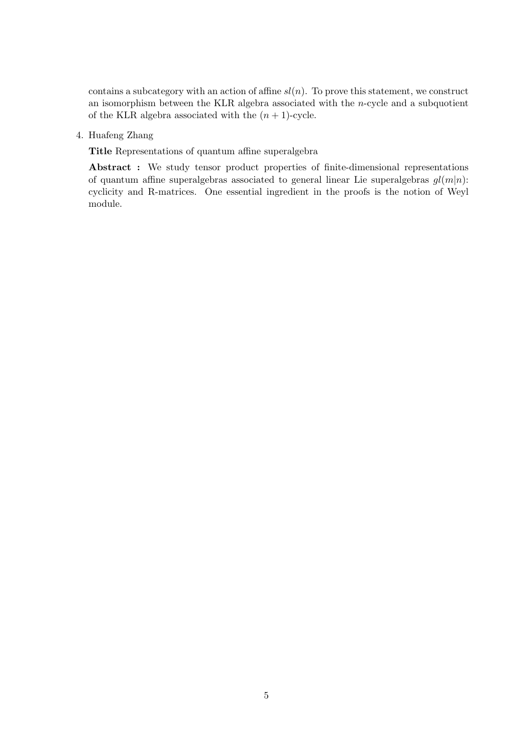contains a subcategory with an action of affine  $sl(n)$ . To prove this statement, we construct an isomorphism between the KLR algebra associated with the n-cycle and a subquotient of the KLR algebra associated with the  $(n + 1)$ -cycle.

4. Huafeng Zhang

Title Representations of quantum affine superalgebra

Abstract : We study tensor product properties of finite-dimensional representations of quantum affine superalgebras associated to general linear Lie superalgebras  $gl(m|n)$ : cyclicity and R-matrices. One essential ingredient in the proofs is the notion of Weyl module.